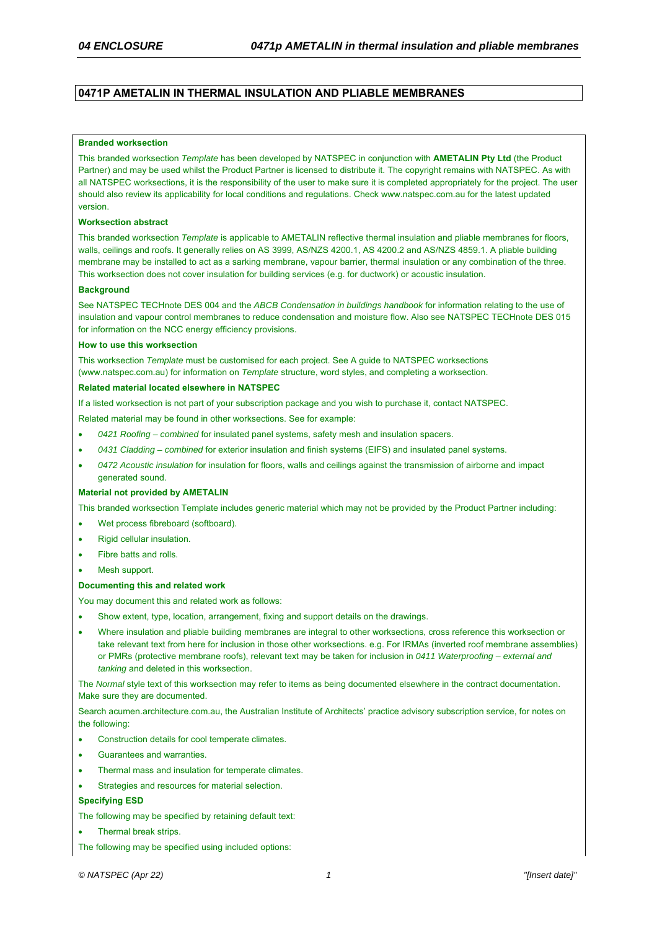### **0471P AMETALIN IN THERMAL INSULATION AND PLIABLE MEMBRANES**

#### **Branded worksection**

This branded worksection *Template* has been developed by NATSPEC in conjunction with **AMETALIN Pty Ltd** (the Product Partner) and may be used whilst the Product Partner is licensed to distribute it. The copyright remains with NATSPEC. As with all NATSPEC worksections, it is the responsibility of the user to make sure it is completed appropriately for the project. The user should also review its applicability for local conditions and regulations. Check www.natspec.com.au for the latest updated version.

#### **Worksection abstract**

This branded worksection *Template* is applicable to AMETALIN reflective thermal insulation and pliable membranes for floors, walls, ceilings and roofs. It generally relies on AS 3999, AS/NZS 4200.1, AS 4200.2 and AS/NZS 4859.1. A pliable building membrane may be installed to act as a sarking membrane, vapour barrier, thermal insulation or any combination of the three. This worksection does not cover insulation for building services (e.g. for ductwork) or acoustic insulation.

#### **Background**

See NATSPEC TECHnote DES 004 and the *ABCB Condensation in buildings handbook* for information relating to the use of insulation and vapour control membranes to reduce condensation and moisture flow. Also see NATSPEC TECHnote DES 015 for information on the NCC energy efficiency provisions.

#### **How to use this worksection**

This worksection *Template* must be customised for each project. See A guide to NATSPEC worksections (www.natspec.com.au) for information on *Template* structure, word styles, and completing a worksection.

#### **Related material located elsewhere in NATSPEC**

If a listed worksection is not part of your subscription package and you wish to purchase it, contact NATSPEC.

Related material may be found in other worksections. See for example:

- *0421 Roofing combined* for insulated panel systems, safety mesh and insulation spacers.
- *0431 Cladding combined* for exterior insulation and finish systems (EIFS) and insulated panel systems.
- *0472 Acoustic insulation* for insulation for floors, walls and ceilings against the transmission of airborne and impact generated sound.

#### **Material not provided by AMETALIN**

This branded worksection Template includes generic material which may not be provided by the Product Partner including:

- Wet process fibreboard (softboard).
- Rigid cellular insulation.
- Fibre batts and rolls.
- Mesh support.

#### **Documenting this and related work**

You may document this and related work as follows:

- Show extent, type, location, arrangement, fixing and support details on the drawings.
- Where insulation and pliable building membranes are integral to other worksections, cross reference this worksection or take relevant text from here for inclusion in those other worksections. e.g. For IRMAs (inverted roof membrane assemblies) or PMRs (protective membrane roofs), relevant text may be taken for inclusion in *0411 Waterproofing – external and tanking* and deleted in this worksection.

The *Normal* style text of this worksection may refer to items as being documented elsewhere in the contract documentation. Make sure they are documented.

Search acumen.architecture.com.au, the Australian Institute of Architects' practice advisory subscription service, for notes on the following:

- Construction details for cool temperate climates.
- Guarantees and warranties.
- Thermal mass and insulation for temperate climates.
- Strategies and resources for material selection.

#### **Specifying ESD**

- The following may be specified by retaining default text:
- Thermal break strips.
- The following may be specified using included options: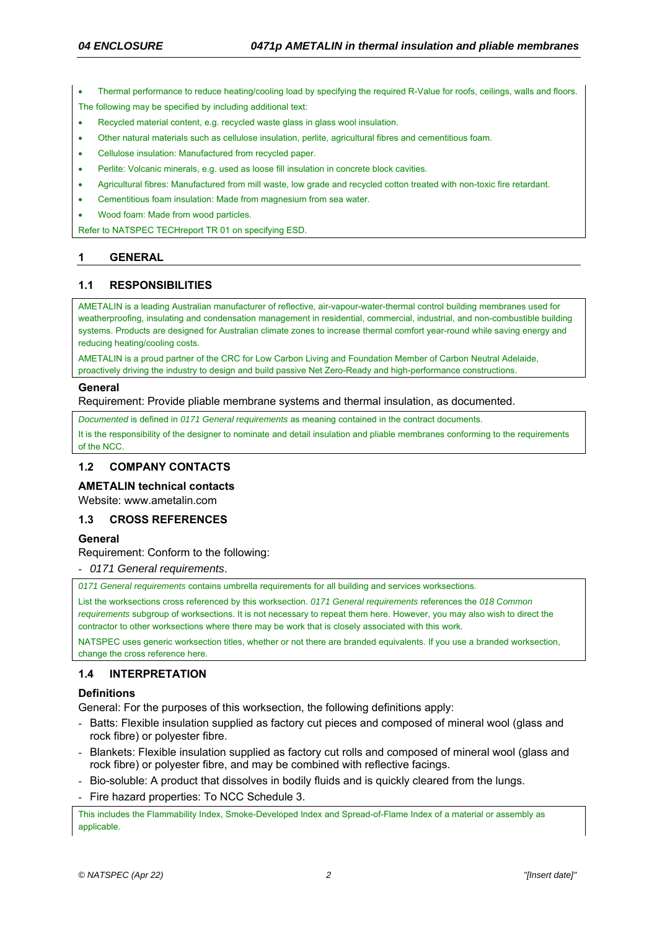Thermal performance to reduce heating/cooling load by specifying the required R-Value for roofs, ceilings, walls and floors.

The following may be specified by including additional text:

- Recycled material content, e.g. recycled waste glass in glass wool insulation.
- Other natural materials such as cellulose insulation, perlite, agricultural fibres and cementitious foam.
- Cellulose insulation: Manufactured from recycled paper.
- Perlite: Volcanic minerals, e.g. used as loose fill insulation in concrete block cavities.
- Agricultural fibres: Manufactured from mill waste, low grade and recycled cotton treated with non-toxic fire retardant.
- Cementitious foam insulation: Made from magnesium from sea water.
- Wood foam: Made from wood particles.

Refer to NATSPEC TECHreport TR 01 on specifying ESD.

# **1 GENERAL**

## **1.1 RESPONSIBILITIES**

AMETALIN is a leading Australian manufacturer of reflective, air-vapour-water-thermal control building membranes used for weatherproofing, insulating and condensation management in residential, commercial, industrial, and non-combustible building systems. Products are designed for Australian climate zones to increase thermal comfort year-round while saving energy and reducing heating/cooling costs.

AMETALIN is a proud partner of the CRC for Low Carbon Living and Foundation Member of Carbon Neutral Adelaide, proactively driving the industry to design and build passive Net Zero-Ready and high-performance constructions.

### **General**

Requirement: Provide pliable membrane systems and thermal insulation, as documented.

*Documented* is defined in *0171 General requirements* as meaning contained in the contract documents.

It is the responsibility of the designer to nominate and detail insulation and pliable membranes conforming to the requirements of the NCC.

# **1.2 COMPANY CONTACTS**

**AMETALIN technical contacts** 

Website: www.ametalin.com

### **1.3 CROSS REFERENCES**

### **General**

Requirement: Conform to the following:

- *0171 General requirements*.

*0171 General requirements* contains umbrella requirements for all building and services worksections.

List the worksections cross referenced by this worksection. *0171 General requirements* references the *018 Common requirements* subgroup of worksections. It is not necessary to repeat them here. However, you may also wish to direct the contractor to other worksections where there may be work that is closely associated with this work.

NATSPEC uses generic worksection titles, whether or not there are branded equivalents. If you use a branded worksection, change the cross reference here.

# **1.4 INTERPRETATION**

# **Definitions**

General: For the purposes of this worksection, the following definitions apply:

- Batts: Flexible insulation supplied as factory cut pieces and composed of mineral wool (glass and rock fibre) or polyester fibre.
- Blankets: Flexible insulation supplied as factory cut rolls and composed of mineral wool (glass and rock fibre) or polyester fibre, and may be combined with reflective facings.
- Bio-soluble: A product that dissolves in bodily fluids and is quickly cleared from the lungs.
- Fire hazard properties: To NCC Schedule 3.

This includes the Flammability Index, Smoke-Developed Index and Spread-of-Flame Index of a material or assembly as applicable.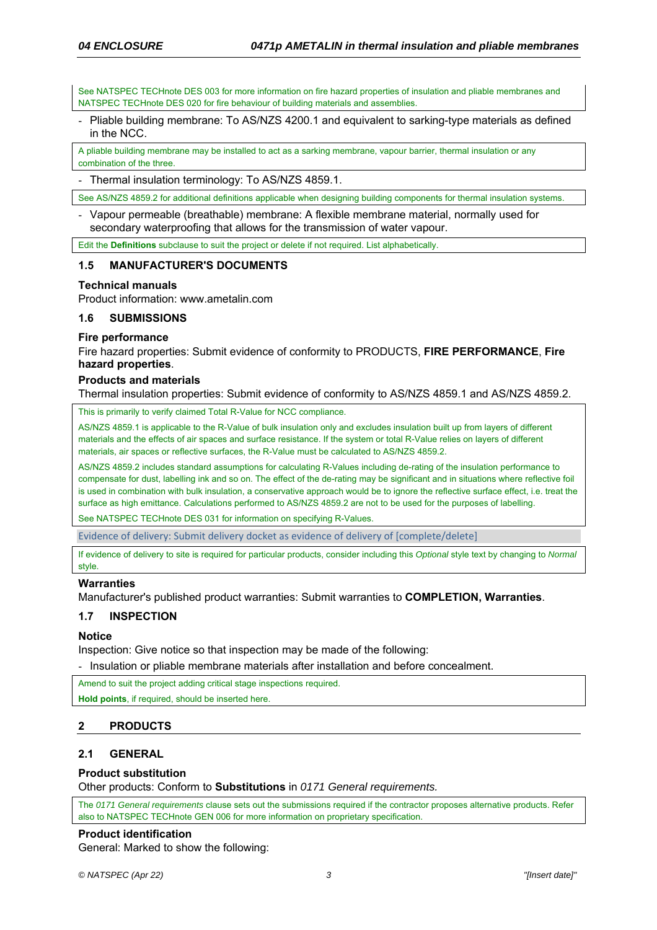See NATSPEC TECHnote DES 003 for more information on fire hazard properties of insulation and pliable membranes and NATSPEC TECHnote DES 020 for fire behaviour of building materials and assemblies.

- Pliable building membrane: To AS/NZS 4200.1 and equivalent to sarking-type materials as defined in the NCC.

A pliable building membrane may be installed to act as a sarking membrane, vapour barrier, thermal insulation or any combination of the three.

- Thermal insulation terminology: To AS/NZS 4859.1.

See AS/NZS 4859.2 for additional definitions applicable when designing building components for thermal insulation systems

- Vapour permeable (breathable) membrane: A flexible membrane material, normally used for secondary waterproofing that allows for the transmission of water vapour.

Edit the **Definitions** subclause to suit the project or delete if not required. List alphabetically.

### **1.5 MANUFACTURER'S DOCUMENTS**

### **Technical manuals**

Product information: www.ametalin.com

### **1.6 SUBMISSIONS**

### **Fire performance**

Fire hazard properties: Submit evidence of conformity to PRODUCTS, **FIRE PERFORMANCE**, **Fire hazard properties**.

### **Products and materials**

Thermal insulation properties: Submit evidence of conformity to AS/NZS 4859.1 and AS/NZS 4859.2.

This is primarily to verify claimed Total R-Value for NCC compliance.

AS/NZS 4859.1 is applicable to the R-Value of bulk insulation only and excludes insulation built up from layers of different materials and the effects of air spaces and surface resistance. If the system or total R-Value relies on layers of different materials, air spaces or reflective surfaces, the R-Value must be calculated to AS/NZS 4859.2.

AS/NZS 4859.2 includes standard assumptions for calculating R-Values including de-rating of the insulation performance to compensate for dust, labelling ink and so on. The effect of the de-rating may be significant and in situations where reflective foil is used in combination with bulk insulation, a conservative approach would be to ignore the reflective surface effect, i.e. treat the surface as high emittance. Calculations performed to AS/NZS 4859.2 are not to be used for the purposes of labelling.

See NATSPEC TECHnote DES 031 for information on specifying R-Values.

Evidence of delivery: Submit delivery docket as evidence of delivery of [complete/delete]

If evidence of delivery to site is required for particular products, consider including this *Optional* style text by changing to *Normal* style.

### **Warranties**

Manufacturer's published product warranties: Submit warranties to **COMPLETION, Warranties**.

# **1.7 INSPECTION**

### **Notice**

Inspection: Give notice so that inspection may be made of the following:

- Insulation or pliable membrane materials after installation and before concealment.

Amend to suit the project adding critical stage inspections required.

**Hold points**, if required, should be inserted here.

# **2 PRODUCTS**

# **2.1 GENERAL**

### **Product substitution**

Other products: Conform to **Substitutions** in *0171 General requirements.*

The *0171 General requirements* clause sets out the submissions required if the contractor proposes alternative products. Refer also to NATSPEC TECHnote GEN 006 for more information on proprietary specification.

### **Product identification**

General: Marked to show the following: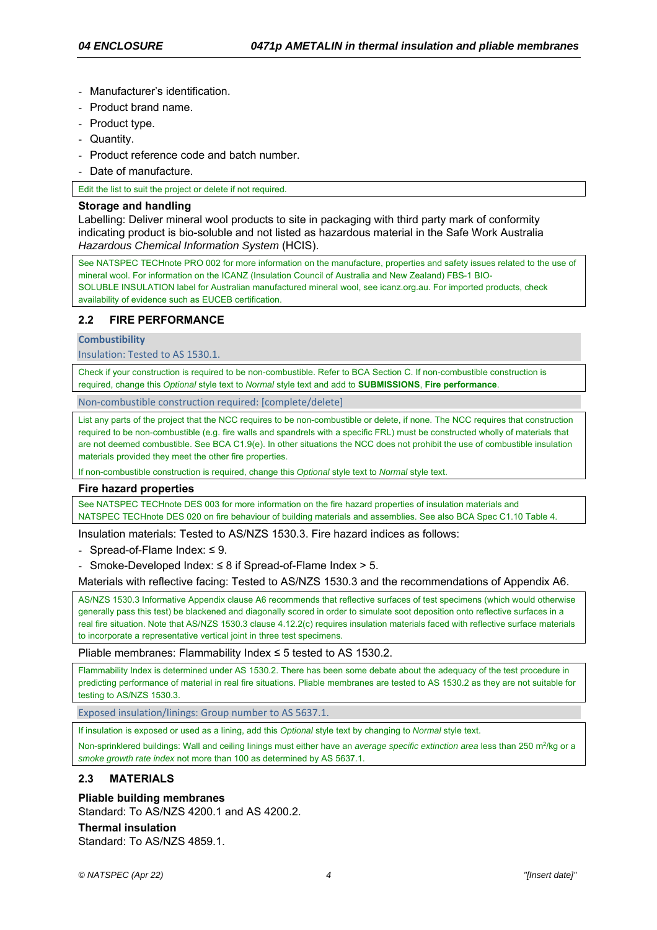- Manufacturer's identification.
- Product brand name.
- Product type.
- Quantity.
- Product reference code and batch number.
- Date of manufacture.

Edit the list to suit the project or delete if not required.

#### **Storage and handling**

Labelling: Deliver mineral wool products to site in packaging with third party mark of conformity indicating product is bio-soluble and not listed as hazardous material in the Safe Work Australia *Hazardous Chemical Information System* (HCIS).

See NATSPEC TECHnote PRO 002 for more information on the manufacture, properties and safety issues related to the use of mineral wool. For information on the ICANZ (Insulation Council of Australia and New Zealand) FBS-1 BIO-SOLUBLE INSULATION label for Australian manufactured mineral wool, see icanz.org.au. For imported products, check availability of evidence such as EUCEB certification.

### **2.2 FIRE PERFORMANCE**

**Combustibility** 

Insulation: Tested to AS 1530.1.

Check if your construction is required to be non-combustible. Refer to BCA Section C. If non-combustible construction is required, change this *Optional* style text to *Normal* style text and add to **SUBMISSIONS**, **Fire performance**.

Non‐combustible construction required: [complete/delete]

List any parts of the project that the NCC requires to be non-combustible or delete, if none. The NCC requires that construction required to be non-combustible (e.g. fire walls and spandrels with a specific FRL) must be constructed wholly of materials that are not deemed combustible. See BCA C1.9(e). In other situations the NCC does not prohibit the use of combustible insulation materials provided they meet the other fire properties.

If non-combustible construction is required, change this *Optional* style text to *Normal* style text.

#### **Fire hazard properties**

See NATSPEC TECHnote DES 003 for more information on the fire hazard properties of insulation materials and NATSPEC TECHnote DES 020 on fire behaviour of building materials and assemblies. See also BCA Spec C1.10 Table 4.

Insulation materials: Tested to AS/NZS 1530.3. Fire hazard indices as follows:

- Spread-of-Flame Index: ≤ 9.

- Smoke-Developed Index:  $\leq 8$  if Spread-of-Flame Index  $> 5$ .

Materials with reflective facing: Tested to AS/NZS 1530.3 and the recommendations of Appendix A6.

AS/NZS 1530.3 Informative Appendix clause A6 recommends that reflective surfaces of test specimens (which would otherwise generally pass this test) be blackened and diagonally scored in order to simulate soot deposition onto reflective surfaces in a real fire situation. Note that AS/NZS 1530.3 clause 4.12.2(c) requires insulation materials faced with reflective surface materials to incorporate a representative vertical joint in three test specimens.

Pliable membranes: Flammability Index ≤ 5 tested to AS 1530.2.

Flammability Index is determined under AS 1530.2. There has been some debate about the adequacy of the test procedure in predicting performance of material in real fire situations. Pliable membranes are tested to AS 1530.2 as they are not suitable for testing to AS/NZS 1530.3.

Exposed insulation/linings: Group number to AS 5637.1.

If insulation is exposed or used as a lining, add this *Optional* style text by changing to *Normal* style text.

Non-sprinklered buildings: Wall and ceiling linings must either have an *average specific extinction area* less than 250 m<sup>2</sup>/kg or a *smoke growth rate index* not more than 100 as determined by AS 5637.1.

### **2.3 MATERIALS**

### **Pliable building membranes**

Standard: To AS/NZS 4200.1 and AS 4200.2.

## **Thermal insulation**

Standard: To AS/N7S 4859 1.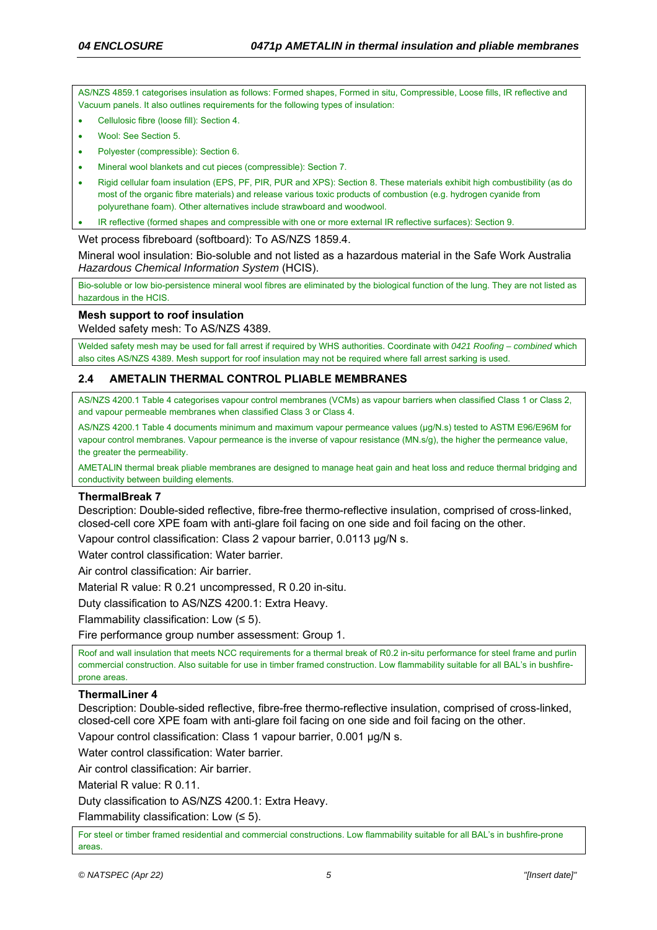AS/NZS 4859.1 categorises insulation as follows: Formed shapes, Formed in situ, Compressible, Loose fills, IR reflective and Vacuum panels. It also outlines requirements for the following types of insulation:

- Cellulosic fibre (loose fill): Section 4.
- Wool: See Section 5.
- Polyester (compressible): Section 6.
- Mineral wool blankets and cut pieces (compressible): Section 7.
- Rigid cellular foam insulation (EPS, PF, PIR, PUR and XPS): Section 8. These materials exhibit high combustibility (as do most of the organic fibre materials) and release various toxic products of combustion (e.g. hydrogen cyanide from polyurethane foam). Other alternatives include strawboard and woodwool.
- IR reflective (formed shapes and compressible with one or more external IR reflective surfaces): Section 9.

#### Wet process fibreboard (softboard): To AS/NZS 1859.4.

Mineral wool insulation: Bio-soluble and not listed as a hazardous material in the Safe Work Australia *Hazardous Chemical Information System* (HCIS).

Bio-soluble or low bio-persistence mineral wool fibres are eliminated by the biological function of the lung. They are not listed as hazardous in the HCIS.

#### **Mesh support to roof insulation**

Welded safety mesh: To AS/NZS 4389.

Welded safety mesh may be used for fall arrest if required by WHS authorities. Coordinate with *0421 Roofing – combined* which also cites AS/NZS 4389. Mesh support for roof insulation may not be required where fall arrest sarking is used.

### **2.4 AMETALIN THERMAL CONTROL PLIABLE MEMBRANES**

AS/NZS 4200.1 Table 4 categorises vapour control membranes (VCMs) as vapour barriers when classified Class 1 or Class 2, and vapour permeable membranes when classified Class 3 or Class 4.

AS/NZS 4200.1 Table 4 documents minimum and maximum vapour permeance values (µg/N.s) tested to ASTM E96/E96M for vapour control membranes. Vapour permeance is the inverse of vapour resistance (MN.s/g), the higher the permeance value, the greater the permeability.

AMETALIN thermal break pliable membranes are designed to manage heat gain and heat loss and reduce thermal bridging and conductivity between building elements.

### **ThermalBreak 7**

Description: Double-sided reflective, fibre-free thermo-reflective insulation, comprised of cross-linked, closed-cell core XPE foam with anti-glare foil facing on one side and foil facing on the other.

Vapour control classification: Class 2 vapour barrier, 0.0113 µg/N s.

Water control classification: Water barrier.

Air control classification: Air barrier.

Material R value: R 0.21 uncompressed, R 0.20 in-situ.

Duty classification to AS/NZS 4200.1: Extra Heavy.

Flammability classification: Low  $(55)$ .

Fire performance group number assessment: Group 1.

Roof and wall insulation that meets NCC requirements for a thermal break of R0.2 in-situ performance for steel frame and purlin commercial construction. Also suitable for use in timber framed construction. Low flammability suitable for all BAL's in bushfireprone areas.

### **ThermalLiner 4**

Description: Double-sided reflective, fibre-free thermo-reflective insulation, comprised of cross-linked, closed-cell core XPE foam with anti-glare foil facing on one side and foil facing on the other.

Vapour control classification: Class 1 vapour barrier, 0.001 µg/N s.

Water control classification: Water barrier.

Air control classification: Air barrier.

Material R value: R 0.11.

Duty classification to AS/NZS 4200.1: Extra Heavy.

Flammability classification: Low  $(55)$ .

For steel or timber framed residential and commercial constructions. Low flammability suitable for all BAL's in bushfire-prone areas.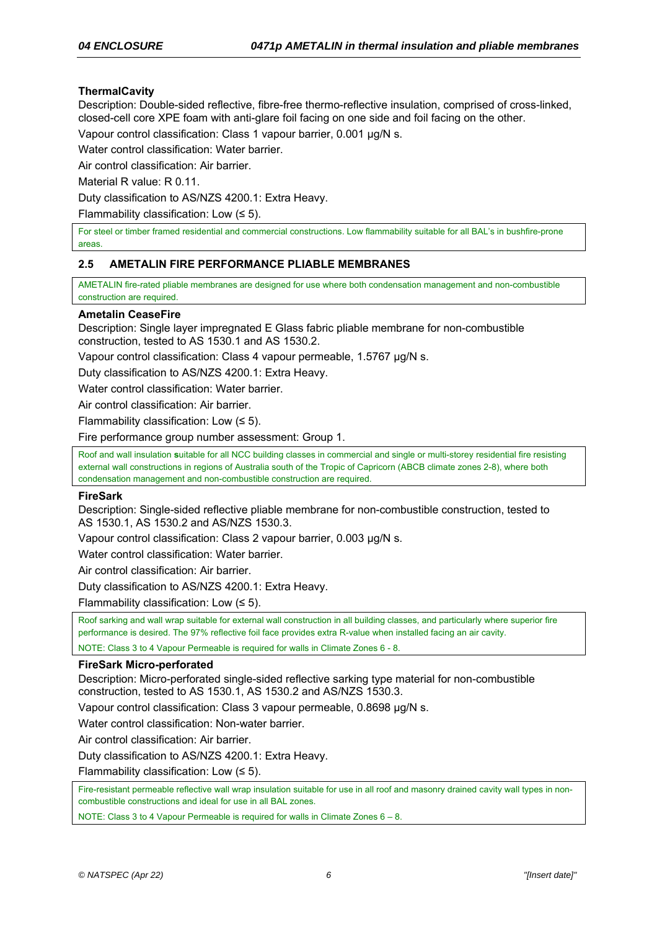# **ThermalCavity**

Description: Double-sided reflective, fibre-free thermo-reflective insulation, comprised of cross-linked, closed-cell core XPE foam with anti-glare foil facing on one side and foil facing on the other.

Vapour control classification: Class 1 vapour barrier, 0.001 µg/N s.

Water control classification: Water barrier.

Air control classification: Air barrier.

Material R value: R 0.11.

Duty classification to AS/NZS 4200.1: Extra Heavy.

Flammability classification: Low  $(55)$ .

For steel or timber framed residential and commercial constructions. Low flammability suitable for all BAL's in bushfire-prone areas.

### **2.5 AMETALIN FIRE PERFORMANCE PLIABLE MEMBRANES**

AMETALIN fire-rated pliable membranes are designed for use where both condensation management and non-combustible construction are required.

### **Ametalin CeaseFire**

Description: Single layer impregnated E Glass fabric pliable membrane for non-combustible construction, tested to AS 1530.1 and AS 1530.2.

Vapour control classification: Class 4 vapour permeable, 1.5767 µg/N s.

Duty classification to AS/NZS 4200.1: Extra Heavy.

Water control classification: Water barrier.

Air control classification: Air barrier.

Flammability classification: Low  $(55)$ .

Fire performance group number assessment: Group 1.

Roof and wall insulation **s**uitable for all NCC building classes in commercial and single or multi-storey residential fire resisting external wall constructions in regions of Australia south of the Tropic of Capricorn (ABCB climate zones 2-8), where both condensation management and non-combustible construction are required.

### **FireSark**

Description: Single-sided reflective pliable membrane for non-combustible construction, tested to AS 1530.1, AS 1530.2 and AS/NZS 1530.3.

Vapour control classification: Class 2 vapour barrier, 0.003 µg/N s.

Water control classification: Water barrier.

Air control classification: Air barrier.

Duty classification to AS/NZS 4200.1: Extra Heavy.

Flammability classification: Low (≤ 5).

Roof sarking and wall wrap suitable for external wall construction in all building classes, and particularly where superior fire performance is desired. The 97% reflective foil face provides extra R-value when installed facing an air cavity.

NOTE: Class 3 to 4 Vapour Permeable is required for walls in Climate Zones 6 - 8.

### **FireSark Micro-perforated**

Description: Micro-perforated single-sided reflective sarking type material for non-combustible construction, tested to AS 1530.1, AS 1530.2 and AS/NZS 1530.3.

Vapour control classification: Class 3 vapour permeable, 0.8698 µg/N s.

Water control classification: Non-water barrier.

Air control classification: Air barrier.

Duty classification to AS/NZS 4200.1: Extra Heavy.

Flammability classification: Low (≤ 5).

Fire-resistant permeable reflective wall wrap insulation suitable for use in all roof and masonry drained cavity wall types in noncombustible constructions and ideal for use in all BAL zones.

NOTE: Class 3 to 4 Vapour Permeable is required for walls in Climate Zones 6 – 8.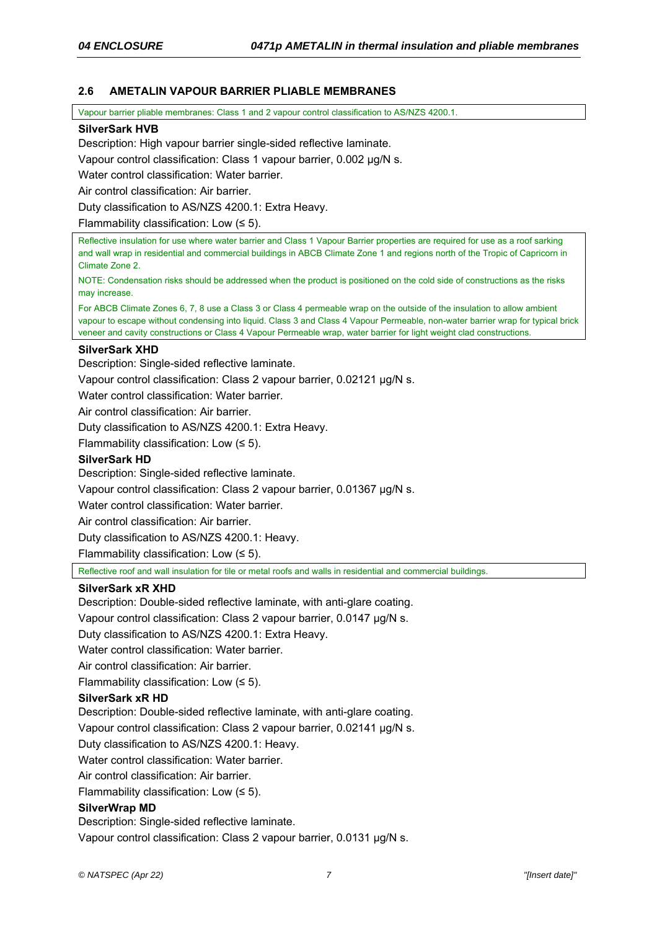# **2.6 AMETALIN VAPOUR BARRIER PLIABLE MEMBRANES**

Vapour barrier pliable membranes: Class 1 and 2 vapour control classification to AS/NZS 4200.1.

### **SilverSark HVB**

Description: High vapour barrier single-sided reflective laminate.

Vapour control classification: Class 1 vapour barrier, 0.002 µg/N s.

Water control classification: Water barrier.

Air control classification: Air barrier.

Duty classification to AS/NZS 4200.1: Extra Heavy.

Flammability classification: Low (≤ 5).

Reflective insulation for use where water barrier and Class 1 Vapour Barrier properties are required for use as a roof sarking and wall wrap in residential and commercial buildings in ABCB Climate Zone 1 and regions north of the Tropic of Capricorn in Climate Zone 2.

NOTE: Condensation risks should be addressed when the product is positioned on the cold side of constructions as the risks may increase.

For ABCB Climate Zones 6, 7, 8 use a Class 3 or Class 4 permeable wrap on the outside of the insulation to allow ambient vapour to escape without condensing into liquid. Class 3 and Class 4 Vapour Permeable, non-water barrier wrap for typical brick veneer and cavity constructions or Class 4 Vapour Permeable wrap, water barrier for light weight clad constructions.

### **SilverSark XHD**

Description: Single-sided reflective laminate.

Vapour control classification: Class 2 vapour barrier, 0.02121 µg/N s.

Water control classification: Water barrier.

Air control classification: Air barrier.

Duty classification to AS/NZS 4200.1: Extra Heavy.

Flammability classification: Low (≤ 5).

### **SilverSark HD**

Description: Single-sided reflective laminate.

Vapour control classification: Class 2 vapour barrier, 0.01367 µg/N s.

Water control classification: Water barrier.

Air control classification: Air barrier.

Duty classification to AS/NZS 4200.1: Heavy.

Flammability classification: Low  $(55)$ .

Reflective roof and wall insulation for tile or metal roofs and walls in residential and commercial buildings.

### **SilverSark xR XHD**

Description: Double-sided reflective laminate, with anti-glare coating.

Vapour control classification: Class 2 vapour barrier, 0.0147 µg/N s.

Duty classification to AS/NZS 4200.1: Extra Heavy.

Water control classification: Water barrier.

Air control classification: Air barrier.

Flammability classification: Low (≤ 5).

# **SilverSark xR HD**

Description: Double-sided reflective laminate, with anti-glare coating.

Vapour control classification: Class 2 vapour barrier, 0.02141 µg/N s.

Duty classification to AS/NZS 4200.1: Heavy.

Water control classification: Water barrier.

Air control classification: Air barrier.

Flammability classification: Low  $(55)$ .

# **SilverWrap MD**

Description: Single-sided reflective laminate.

Vapour control classification: Class 2 vapour barrier, 0.0131 µg/N s.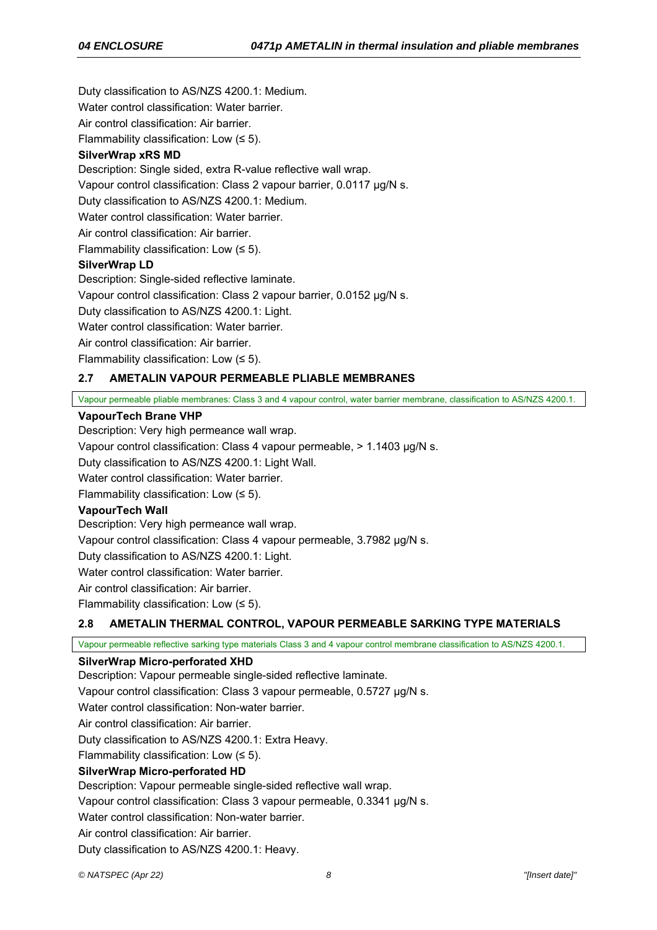Duty classification to AS/NZS 4200.1: Medium.

Water control classification: Water barrier.

Air control classification: Air barrier.

Flammability classification: Low  $(55)$ .

# **SilverWrap xRS MD**

Description: Single sided, extra R-value reflective wall wrap.

Vapour control classification: Class 2 vapour barrier, 0.0117 µg/N s.

Duty classification to AS/NZS 4200.1: Medium.

Water control classification: Water barrier.

Air control classification: Air barrier.

Flammability classification: Low  $(5)$ .

# **SilverWrap LD**

Description: Single-sided reflective laminate.

Vapour control classification: Class 2 vapour barrier, 0.0152 µg/N s.

Duty classification to AS/NZS 4200.1: Light.

Water control classification: Water barrier.

Air control classification: Air barrier.

Flammability classification: Low (≤ 5).

# **2.7 AMETALIN VAPOUR PERMEABLE PLIABLE MEMBRANES**

Vapour permeable pliable membranes: Class 3 and 4 vapour control, water barrier membrane, classification to AS/NZS 4200.1.

### **VapourTech Brane VHP**

Description: Very high permeance wall wrap.

Vapour control classification: Class 4 vapour permeable, > 1.1403 µg/N s.

Duty classification to AS/NZS 4200.1: Light Wall.

Water control classification: Water barrier

Flammability classification: Low  $(55)$ .

# **VapourTech Wall**

Description: Very high permeance wall wrap.

Vapour control classification: Class 4 vapour permeable, 3.7982 µg/N s.

Duty classification to AS/NZS 4200.1: Light.

Water control classification: Water barrier.

Air control classification: Air barrier.

Flammability classification: Low (≤ 5).

# **2.8 AMETALIN THERMAL CONTROL, VAPOUR PERMEABLE SARKING TYPE MATERIALS**

Vapour permeable reflective sarking type materials Class 3 and 4 vapour control membrane classification to AS/NZS 4200.1.

### **SilverWrap Micro-perforated XHD**

Description: Vapour permeable single-sided reflective laminate.

Vapour control classification: Class 3 vapour permeable, 0.5727 µg/N s.

Water control classification: Non-water barrier.

Air control classification: Air barrier.

Duty classification to AS/NZS 4200.1: Extra Heavy.

Flammability classification: Low  $(55)$ .

# **SilverWrap Micro-perforated HD**

Description: Vapour permeable single-sided reflective wall wrap.

Vapour control classification: Class 3 vapour permeable, 0.3341 µg/N s.

Water control classification: Non-water barrier.

Air control classification: Air barrier.

Duty classification to AS/NZS 4200.1: Heavy.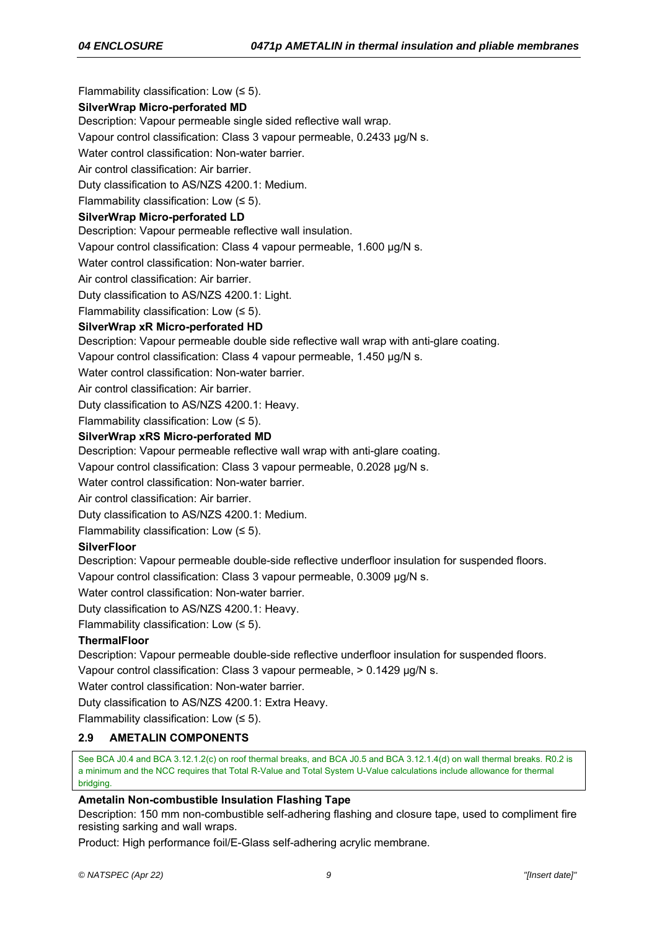Flammability classification: Low  $(55)$ .

# **SilverWrap Micro-perforated MD**

Description: Vapour permeable single sided reflective wall wrap.

Vapour control classification: Class 3 vapour permeable, 0.2433 µg/N s.

Water control classification: Non-water barrier.

Air control classification: Air barrier.

Duty classification to AS/NZS 4200.1: Medium.

Flammability classification: Low (≤ 5).

### **SilverWrap Micro-perforated LD**

Description: Vapour permeable reflective wall insulation.

Vapour control classification: Class 4 vapour permeable, 1.600 µg/N s.

Water control classification: Non-water barrier.

Air control classification: Air barrier.

Duty classification to AS/NZS 4200.1: Light.

Flammability classification: Low (≤ 5).

### **SilverWrap xR Micro-perforated HD**

Description: Vapour permeable double side reflective wall wrap with anti-glare coating.

Vapour control classification: Class 4 vapour permeable, 1.450 µg/N s.

Water control classification: Non-water barrier

Air control classification: Air barrier.

Duty classification to AS/NZS 4200.1: Heavy.

Flammability classification: Low  $(55)$ .

### **SilverWrap xRS Micro-perforated MD**

Description: Vapour permeable reflective wall wrap with anti-glare coating.

Vapour control classification: Class 3 vapour permeable, 0.2028 µg/N s.

Water control classification: Non-water barrier.

Air control classification: Air barrier.

Duty classification to AS/NZS 4200.1: Medium.

Flammability classification: Low  $(55)$ .

# **SilverFloor**

Description: Vapour permeable double-side reflective underfloor insulation for suspended floors.

Vapour control classification: Class 3 vapour permeable, 0.3009 µg/N s.

Water control classification: Non-water barrier.

Duty classification to AS/NZS 4200.1: Heavy.

Flammability classification: Low  $(55)$ .

# **ThermalFloor**

Description: Vapour permeable double-side reflective underfloor insulation for suspended floors.

Vapour control classification: Class 3 vapour permeable, > 0.1429 µg/N s.

Water control classification: Non-water barrier.

Duty classification to AS/NZS 4200.1: Extra Heavy.

Flammability classification: Low  $(5)$ .

# **2.9 AMETALIN COMPONENTS**

See BCA J0.4 and BCA 3.12.1.2(c) on roof thermal breaks, and BCA J0.5 and BCA 3.12.1.4(d) on wall thermal breaks. R0.2 is a minimum and the NCC requires that Total R-Value and Total System U-Value calculations include allowance for thermal bridging.

# **Ametalin Non-combustible Insulation Flashing Tape**

Description: 150 mm non-combustible self-adhering flashing and closure tape, used to compliment fire resisting sarking and wall wraps.

Product: High performance foil/E-Glass self-adhering acrylic membrane.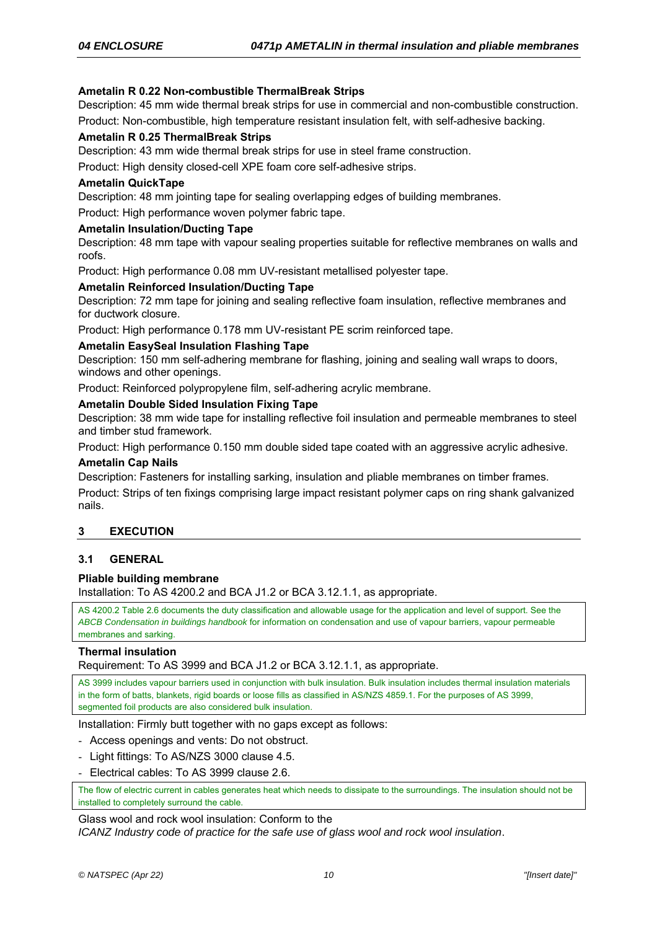# **Ametalin R 0.22 Non-combustible ThermalBreak Strips**

Description: 45 mm wide thermal break strips for use in commercial and non-combustible construction.

Product: Non-combustible, high temperature resistant insulation felt, with self-adhesive backing.

### **Ametalin R 0.25 ThermalBreak Strips**

Description: 43 mm wide thermal break strips for use in steel frame construction.

Product: High density closed-cell XPE foam core self-adhesive strips.

### **Ametalin QuickTape**

Description: 48 mm jointing tape for sealing overlapping edges of building membranes.

Product: High performance woven polymer fabric tape.

### **Ametalin Insulation/Ducting Tape**

Description: 48 mm tape with vapour sealing properties suitable for reflective membranes on walls and roofs.

Product: High performance 0.08 mm UV-resistant metallised polyester tape.

### **Ametalin Reinforced Insulation/Ducting Tape**

Description: 72 mm tape for joining and sealing reflective foam insulation, reflective membranes and for ductwork closure.

Product: High performance 0.178 mm UV-resistant PE scrim reinforced tape.

### **Ametalin EasySeal Insulation Flashing Tape**

Description: 150 mm self-adhering membrane for flashing, joining and sealing wall wraps to doors, windows and other openings.

Product: Reinforced polypropylene film, self-adhering acrylic membrane.

### **Ametalin Double Sided Insulation Fixing Tape**

Description: 38 mm wide tape for installing reflective foil insulation and permeable membranes to steel and timber stud framework.

Product: High performance 0.150 mm double sided tape coated with an aggressive acrylic adhesive.

### **Ametalin Cap Nails**

Description: Fasteners for installing sarking, insulation and pliable membranes on timber frames.

Product: Strips of ten fixings comprising large impact resistant polymer caps on ring shank galvanized nails.

# **3 EXECUTION**

### **3.1 GENERAL**

### **Pliable building membrane**

Installation: To AS 4200.2 and BCA J1.2 or BCA 3.12.1.1, as appropriate.

AS 4200.2 Table 2.6 documents the duty classification and allowable usage for the application and level of support. See the *ABCB Condensation in buildings handbook* for information on condensation and use of vapour barriers, vapour permeable membranes and sarking.

### **Thermal insulation**

Requirement: To AS 3999 and BCA J1.2 or BCA 3.12.1.1, as appropriate.

AS 3999 includes vapour barriers used in conjunction with bulk insulation. Bulk insulation includes thermal insulation materials in the form of batts, blankets, rigid boards or loose fills as classified in AS/NZS 4859.1. For the purposes of AS 3999, segmented foil products are also considered bulk insulation.

Installation: Firmly butt together with no gaps except as follows:

- Access openings and vents: Do not obstruct.
- Light fittings: To AS/NZS 3000 clause 4.5.
- Electrical cables: To AS 3999 clause 2.6.

The flow of electric current in cables generates heat which needs to dissipate to the surroundings. The insulation should not be installed to completely surround the cable.

Glass wool and rock wool insulation: Conform to the *ICANZ Industry code of practice for the safe use of glass wool and rock wool insulation*.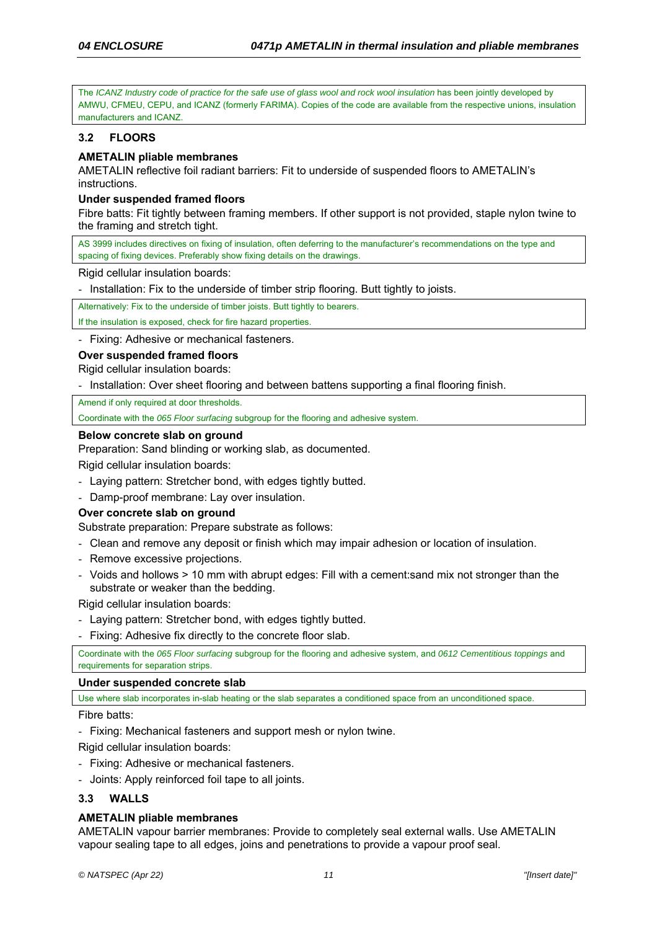The *ICANZ Industry code of practice for the safe use of glass wool and rock wool insulation* has been jointly developed by AMWU, CFMEU, CEPU, and ICANZ (formerly FARIMA). Copies of the code are available from the respective unions, insulation manufacturers and ICANZ.

# **3.2 FLOORS**

# **AMETALIN pliable membranes**

AMETALIN reflective foil radiant barriers: Fit to underside of suspended floors to AMETALIN's instructions.

### **Under suspended framed floors**

Fibre batts: Fit tightly between framing members. If other support is not provided, staple nylon twine to the framing and stretch tight.

AS 3999 includes directives on fixing of insulation, often deferring to the manufacturer's recommendations on the type and spacing of fixing devices. Preferably show fixing details on the drawings.

Rigid cellular insulation boards:

- Installation: Fix to the underside of timber strip flooring. Butt tightly to joists.

Alternatively: Fix to the underside of timber joists. Butt tightly to bearers.

If the insulation is exposed, check for fire hazard properties.

- Fixing: Adhesive or mechanical fasteners.

### **Over suspended framed floors**

Rigid cellular insulation boards:

- Installation: Over sheet flooring and between battens supporting a final flooring finish.

Amend if only required at door thresholds.

Coordinate with the *065 Floor surfacing* subgroup for the flooring and adhesive system.

### **Below concrete slab on ground**

Preparation: Sand blinding or working slab, as documented.

Rigid cellular insulation boards:

- Laying pattern: Stretcher bond, with edges tightly butted.
- Damp-proof membrane: Lay over insulation.

### **Over concrete slab on ground**

Substrate preparation: Prepare substrate as follows:

- Clean and remove any deposit or finish which may impair adhesion or location of insulation.
- Remove excessive projections.
- Voids and hollows > 10 mm with abrupt edges: Fill with a cement:sand mix not stronger than the substrate or weaker than the bedding.

Rigid cellular insulation boards:

- Laying pattern: Stretcher bond, with edges tightly butted.
- Fixing: Adhesive fix directly to the concrete floor slab.

Coordinate with the *065 Floor surfacing* subgroup for the flooring and adhesive system, and *0612 Cementitious toppings* and requirements for separation strips.

### **Under suspended concrete slab**

Use where slab incorporates in-slab heating or the slab separates a conditioned space from an unconditioned space.

Fibre batts:

- Fixing: Mechanical fasteners and support mesh or nylon twine.

Rigid cellular insulation boards:

- Fixing: Adhesive or mechanical fasteners.
- Joints: Apply reinforced foil tape to all joints.

# **3.3 WALLS**

### **AMETALIN pliable membranes**

AMETALIN vapour barrier membranes: Provide to completely seal external walls. Use AMETALIN vapour sealing tape to all edges, joins and penetrations to provide a vapour proof seal.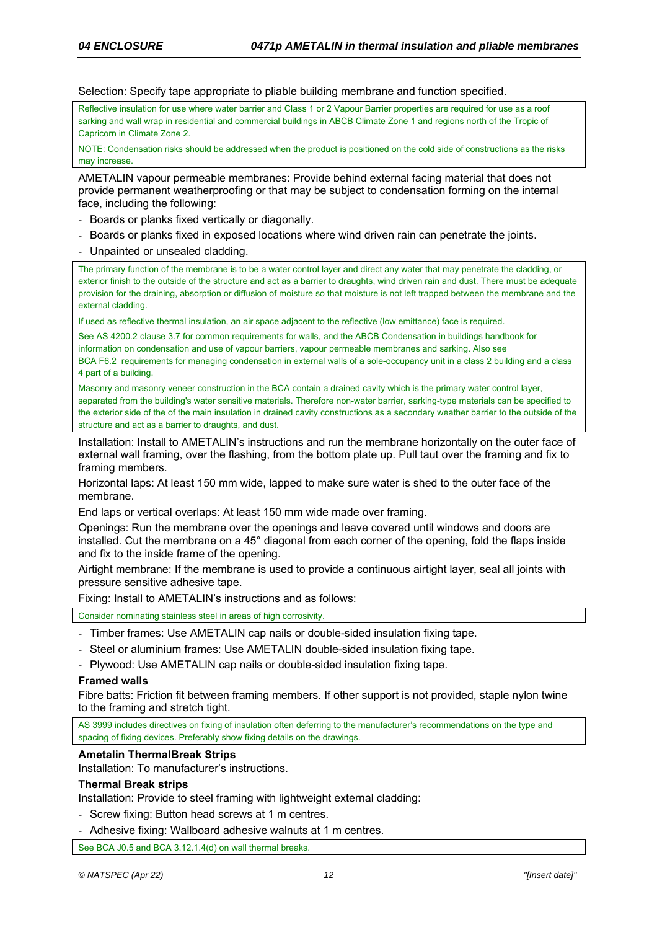Selection: Specify tape appropriate to pliable building membrane and function specified.

Reflective insulation for use where water barrier and Class 1 or 2 Vapour Barrier properties are required for use as a roof sarking and wall wrap in residential and commercial buildings in ABCB Climate Zone 1 and regions north of the Tropic of Capricorn in Climate Zone 2.

NOTE: Condensation risks should be addressed when the product is positioned on the cold side of constructions as the risks may increase

AMETALIN vapour permeable membranes: Provide behind external facing material that does not provide permanent weatherproofing or that may be subject to condensation forming on the internal face, including the following:

- Boards or planks fixed vertically or diagonally.
- Boards or planks fixed in exposed locations where wind driven rain can penetrate the joints. - Unpainted or unsealed cladding.

The primary function of the membrane is to be a water control layer and direct any water that may penetrate the cladding, or exterior finish to the outside of the structure and act as a barrier to draughts, wind driven rain and dust. There must be adequate provision for the draining, absorption or diffusion of moisture so that moisture is not left trapped between the membrane and the external cladding.

If used as reflective thermal insulation, an air space adjacent to the reflective (low emittance) face is required.

See AS 4200.2 clause 3.7 for common requirements for walls, and the ABCB Condensation in buildings handbook for information on condensation and use of vapour barriers, vapour permeable membranes and sarking. Also see BCA F6.2 requirements for managing condensation in external walls of a sole-occupancy unit in a class 2 building and a class 4 part of a building.

Masonry and masonry veneer construction in the BCA contain a drained cavity which is the primary water control layer, separated from the building's water sensitive materials. Therefore non-water barrier, sarking-type materials can be specified to the exterior side of the of the main insulation in drained cavity constructions as a secondary weather barrier to the outside of the structure and act as a barrier to draughts, and dust.

Installation: Install to AMETALIN's instructions and run the membrane horizontally on the outer face of external wall framing, over the flashing, from the bottom plate up. Pull taut over the framing and fix to framing members.

Horizontal laps: At least 150 mm wide, lapped to make sure water is shed to the outer face of the membrane.

End laps or vertical overlaps: At least 150 mm wide made over framing.

Openings: Run the membrane over the openings and leave covered until windows and doors are installed. Cut the membrane on a 45° diagonal from each corner of the opening, fold the flaps inside and fix to the inside frame of the opening.

Airtight membrane: If the membrane is used to provide a continuous airtight layer, seal all joints with pressure sensitive adhesive tape.

Fixing: Install to AMETALIN's instructions and as follows:

Consider nominating stainless steel in areas of high corrosivity.

- Timber frames: Use AMETALIN cap nails or double-sided insulation fixing tape.
- Steel or aluminium frames: Use AMETALIN double-sided insulation fixing tape.
- Plywood: Use AMETALIN cap nails or double-sided insulation fixing tape.

# **Framed walls**

Fibre batts: Friction fit between framing members. If other support is not provided, staple nylon twine to the framing and stretch tight.

AS 3999 includes directives on fixing of insulation often deferring to the manufacturer's recommendations on the type and spacing of fixing devices. Preferably show fixing details on the drawings.

### **Ametalin ThermalBreak Strips**

Installation: To manufacturer's instructions.

### **Thermal Break strips**

Installation: Provide to steel framing with lightweight external cladding:

- Screw fixing: Button head screws at 1 m centres.
- Adhesive fixing: Wallboard adhesive walnuts at 1 m centres.

See BCA J0.5 and BCA 3.12.1.4(d) on wall thermal breaks.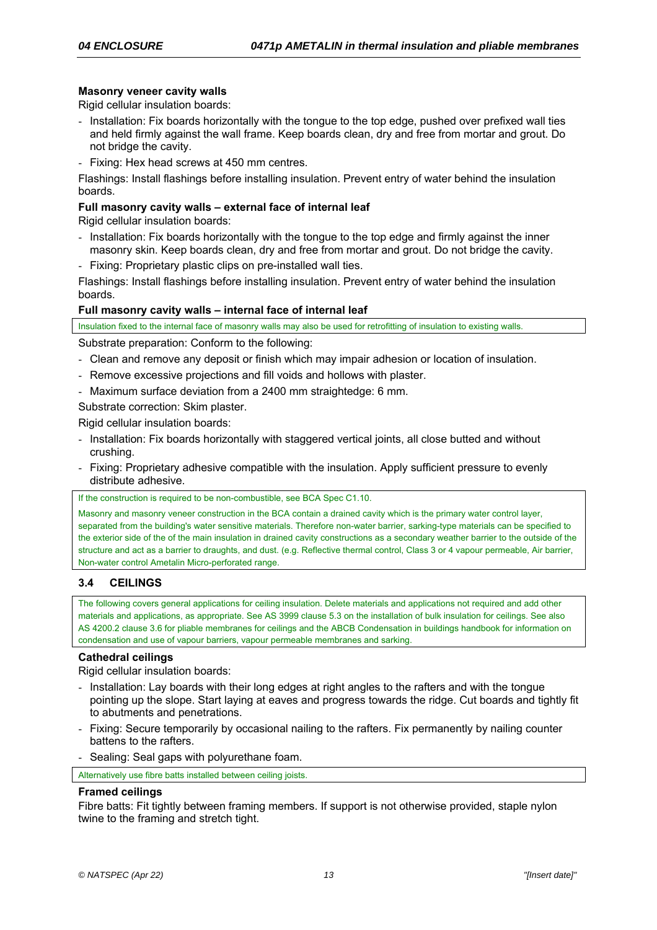## **Masonry veneer cavity walls**

Rigid cellular insulation boards:

- Installation: Fix boards horizontally with the tongue to the top edge, pushed over prefixed wall ties and held firmly against the wall frame. Keep boards clean, dry and free from mortar and grout. Do not bridge the cavity.
- Fixing: Hex head screws at 450 mm centres.

Flashings: Install flashings before installing insulation. Prevent entry of water behind the insulation boards.

### **Full masonry cavity walls – external face of internal leaf**

Rigid cellular insulation boards:

- Installation: Fix boards horizontally with the tongue to the top edge and firmly against the inner masonry skin. Keep boards clean, dry and free from mortar and grout. Do not bridge the cavity.
- Fixing: Proprietary plastic clips on pre-installed wall ties.

Flashings: Install flashings before installing insulation. Prevent entry of water behind the insulation boards.

### **Full masonry cavity walls – internal face of internal leaf**

Insulation fixed to the internal face of masonry walls may also be used for retrofitting of insulation to existing walls.

Substrate preparation: Conform to the following:

- Clean and remove any deposit or finish which may impair adhesion or location of insulation.
- Remove excessive projections and fill voids and hollows with plaster.
- Maximum surface deviation from a 2400 mm straightedge: 6 mm.

Substrate correction: Skim plaster.

Rigid cellular insulation boards:

- Installation: Fix boards horizontally with staggered vertical joints, all close butted and without crushing.
- Fixing: Proprietary adhesive compatible with the insulation. Apply sufficient pressure to evenly distribute adhesive.

If the construction is required to be non-combustible, see BCA Spec C1.10.

Masonry and masonry veneer construction in the BCA contain a drained cavity which is the primary water control layer, separated from the building's water sensitive materials. Therefore non-water barrier, sarking-type materials can be specified to the exterior side of the of the main insulation in drained cavity constructions as a secondary weather barrier to the outside of the structure and act as a barrier to draughts, and dust. (e.g. Reflective thermal control, Class 3 or 4 vapour permeable, Air barrier, Non-water control Ametalin Micro-perforated range.

# **3.4 CEILINGS**

The following covers general applications for ceiling insulation. Delete materials and applications not required and add other materials and applications, as appropriate. See AS 3999 clause 5.3 on the installation of bulk insulation for ceilings. See also AS 4200.2 clause 3.6 for pliable membranes for ceilings and the ABCB Condensation in buildings handbook for information on condensation and use of vapour barriers, vapour permeable membranes and sarking.

### **Cathedral ceilings**

Rigid cellular insulation boards:

- Installation: Lay boards with their long edges at right angles to the rafters and with the tongue pointing up the slope. Start laying at eaves and progress towards the ridge. Cut boards and tightly fit to abutments and penetrations.
- Fixing: Secure temporarily by occasional nailing to the rafters. Fix permanently by nailing counter battens to the rafters.
- Sealing: Seal gaps with polyurethane foam.

Alternatively use fibre batts installed between ceiling joists.

### **Framed ceilings**

Fibre batts: Fit tightly between framing members. If support is not otherwise provided, staple nylon twine to the framing and stretch tight.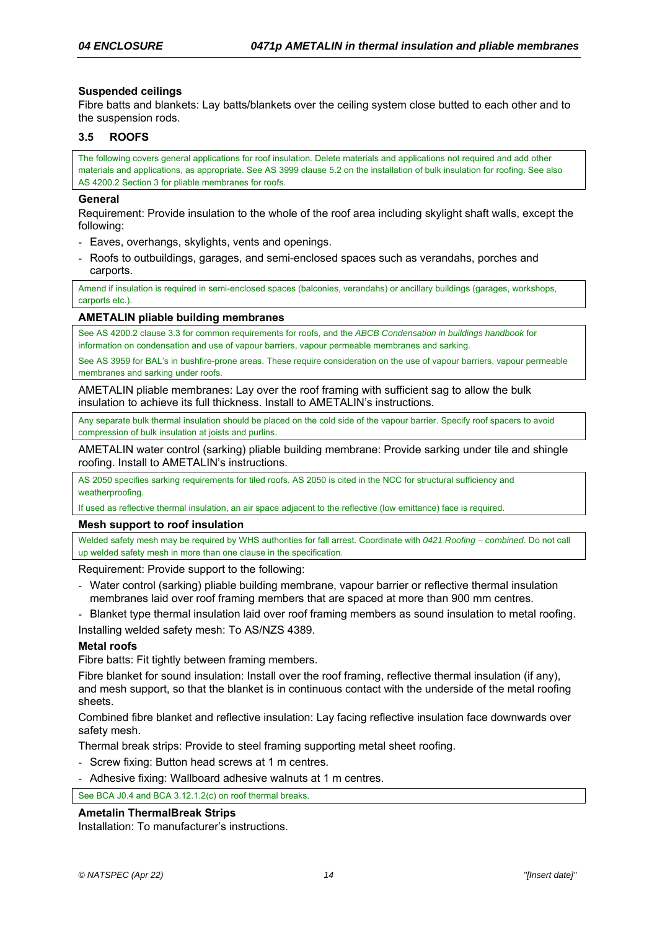### **Suspended ceilings**

Fibre batts and blankets: Lay batts/blankets over the ceiling system close butted to each other and to the suspension rods.

### **3.5 ROOFS**

The following covers general applications for roof insulation. Delete materials and applications not required and add other materials and applications, as appropriate. See AS 3999 clause 5.2 on the installation of bulk insulation for roofing. See also AS 4200.2 Section 3 for pliable membranes for roofs.

### **General**

Requirement: Provide insulation to the whole of the roof area including skylight shaft walls, except the following:

- Eaves, overhangs, skylights, vents and openings.
- Roofs to outbuildings, garages, and semi-enclosed spaces such as verandahs, porches and carports.

Amend if insulation is required in semi-enclosed spaces (balconies, verandahs) or ancillary buildings (garages, workshops, carports etc.)

### **AMETALIN pliable building membranes**

See AS 4200.2 clause 3.3 for common requirements for roofs, and the *ABCB Condensation in buildings handbook* for information on condensation and use of vapour barriers, vapour permeable membranes and sarking.

See AS 3959 for BAL's in bushfire-prone areas. These require consideration on the use of vapour barriers, vapour permeable membranes and sarking under roofs.

AMETALIN pliable membranes: Lay over the roof framing with sufficient sag to allow the bulk insulation to achieve its full thickness. Install to AMETALIN's instructions.

Any separate bulk thermal insulation should be placed on the cold side of the vapour barrier. Specify roof spacers to avoid compression of bulk insulation at joists and purlins.

AMETALIN water control (sarking) pliable building membrane: Provide sarking under tile and shingle roofing. Install to AMETALIN's instructions.

AS 2050 specifies sarking requirements for tiled roofs. AS 2050 is cited in the NCC for structural sufficiency and weatherproofing.

If used as reflective thermal insulation, an air space adjacent to the reflective (low emittance) face is required.

#### **Mesh support to roof insulation**

Welded safety mesh may be required by WHS authorities for fall arrest. Coordinate with *0421 Roofing – combined*. Do not call up welded safety mesh in more than one clause in the specification.

Requirement: Provide support to the following:

- Water control (sarking) pliable building membrane, vapour barrier or reflective thermal insulation membranes laid over roof framing members that are spaced at more than 900 mm centres.
- Blanket type thermal insulation laid over roof framing members as sound insulation to metal roofing.

Installing welded safety mesh: To AS/NZS 4389.

### **Metal roofs**

Fibre batts: Fit tightly between framing members.

Fibre blanket for sound insulation: Install over the roof framing, reflective thermal insulation (if any), and mesh support, so that the blanket is in continuous contact with the underside of the metal roofing sheets.

Combined fibre blanket and reflective insulation: Lay facing reflective insulation face downwards over safety mesh.

Thermal break strips: Provide to steel framing supporting metal sheet roofing.

- Screw fixing: Button head screws at 1 m centres.
- Adhesive fixing: Wallboard adhesive walnuts at 1 m centres.

See BCA J0.4 and BCA 3.12.1.2(c) on roof thermal breaks.

### **Ametalin ThermalBreak Strips**

Installation: To manufacturer's instructions.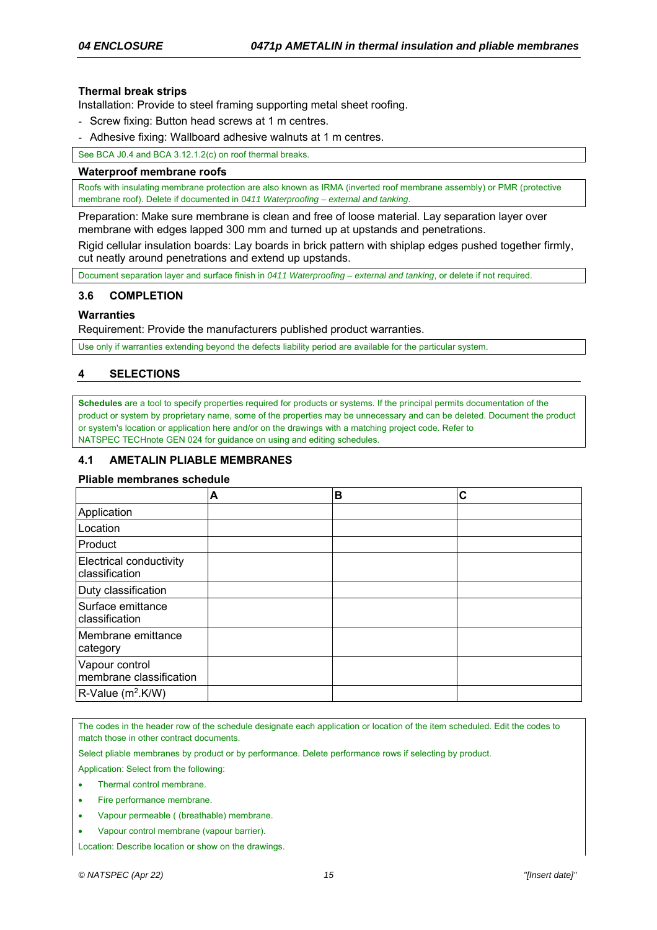### **Thermal break strips**

Installation: Provide to steel framing supporting metal sheet roofing.

- Screw fixing: Button head screws at 1 m centres.
- Adhesive fixing: Wallboard adhesive walnuts at 1 m centres.

See BCA J0.4 and BCA 3.12.1.2(c) on roof thermal breaks.

#### **Waterproof membrane roofs**

Roofs with insulating membrane protection are also known as IRMA (inverted roof membrane assembly) or PMR (protective membrane roof). Delete if documented in *0411 Waterproofing – external and tanking*.

Preparation: Make sure membrane is clean and free of loose material. Lay separation layer over membrane with edges lapped 300 mm and turned up at upstands and penetrations.

Rigid cellular insulation boards: Lay boards in brick pattern with shiplap edges pushed together firmly, cut neatly around penetrations and extend up upstands.

Document separation layer and surface finish in *0411 Waterproofing – external and tanking*, or delete if not required.

### **3.6 COMPLETION**

### **Warranties**

Requirement: Provide the manufacturers published product warranties.

Use only if warranties extending beyond the defects liability period are available for the particular system.

# **4 SELECTIONS**

**Schedules** are a tool to specify properties required for products or systems. If the principal permits documentation of the product or system by proprietary name, some of the properties may be unnecessary and can be deleted. Document the product or system's location or application here and/or on the drawings with a matching project code. Refer to NATSPEC TECHnote GEN 024 for guidance on using and editing schedules.

### **4.1 AMETALIN PLIABLE MEMBRANES**

### **Pliable membranes schedule**

|                                           | Α | В | C |
|-------------------------------------------|---|---|---|
| Application                               |   |   |   |
| Location                                  |   |   |   |
| Product                                   |   |   |   |
| Electrical conductivity<br>classification |   |   |   |
| Duty classification                       |   |   |   |
| lSurface emittance<br>Iclassification     |   |   |   |
| lMembrane emittance<br>category           |   |   |   |
| Vapour control<br>membrane classification |   |   |   |
| R-Value (m <sup>2</sup> .K/W)             |   |   |   |

The codes in the header row of the schedule designate each application or location of the item scheduled. Edit the codes to match those in other contract documents.

Select pliable membranes by product or by performance. Delete performance rows if selecting by product.

Application: Select from the following:

- Thermal control membrane.
- Fire performance membrane.
- Vapour permeable ( (breathable) membrane.
- Vapour control membrane (vapour barrier).

Location: Describe location or show on the drawings.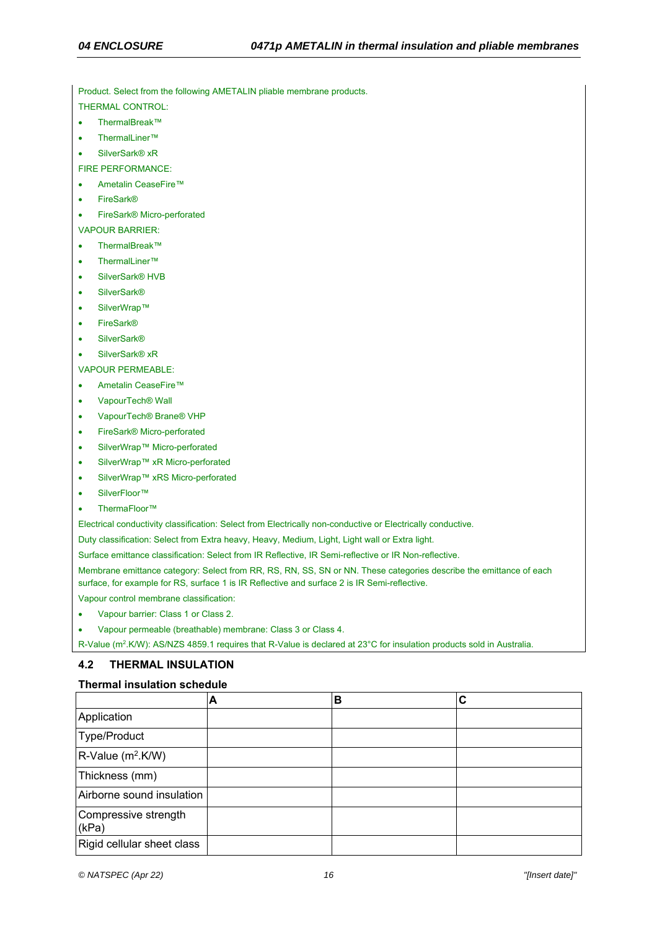Product. Select from the following AMETALIN pliable membrane products.

THERMAL CONTROL:

- ThermalBreak™
- ThermalLiner™
- SilverSark<sup>®</sup> xR
- FIRE PERFORMANCE:
- Ametalin CeaseFire™
- FireSark®
- FireSark® Micro-perforated
- VAPOUR BARRIER:
- ThermalBreak™
- ThermalLiner™
- SilverSark® HVB
- SilverSark<sup>®</sup>
- SilverWrap™
- FireSark®
- **SilverSark®**
- SilverSark® xR

#### VAPOUR PERMEABLE:

Ametalin CeaseFire™

- VapourTech® Wall
- VapourTech® Brane® VHP
- FireSark® Micro-perforated
- SilverWrap™ Micro-perforated
- SilverWrap™ xR Micro-perforated
- SilverWrap™ xRS Micro-perforated
- SilverFloor™
- ThermaFloor™

Electrical conductivity classification: Select from Electrically non-conductive or Electrically conductive.

Duty classification: Select from Extra heavy, Heavy, Medium, Light, Light wall or Extra light.

Surface emittance classification: Select from IR Reflective, IR Semi-reflective or IR Non-reflective.

Membrane emittance category: Select from RR, RS, RN, SS, SN or NN. These categories describe the emittance of each surface, for example for RS, surface 1 is IR Reflective and surface 2 is IR Semi-reflective.

Vapour control membrane classification:

- Vapour barrier: Class 1 or Class 2.
- Vapour permeable (breathable) membrane: Class 3 or Class 4.

R-Value (m<sup>2</sup>.K/W): AS/NZS 4859.1 requires that R-Value is declared at 23°C for insulation products sold in Australia.

### **4.2 THERMAL INSULATION**

### **Thermal insulation schedule**

|                                  | A | в | С |
|----------------------------------|---|---|---|
| Application                      |   |   |   |
| Type/Product                     |   |   |   |
| $R$ -Value (m <sup>2</sup> .K/W) |   |   |   |
| Thickness (mm)                   |   |   |   |
| Airborne sound insulation        |   |   |   |
| Compressive strength<br>(kPa)    |   |   |   |
| Rigid cellular sheet class       |   |   |   |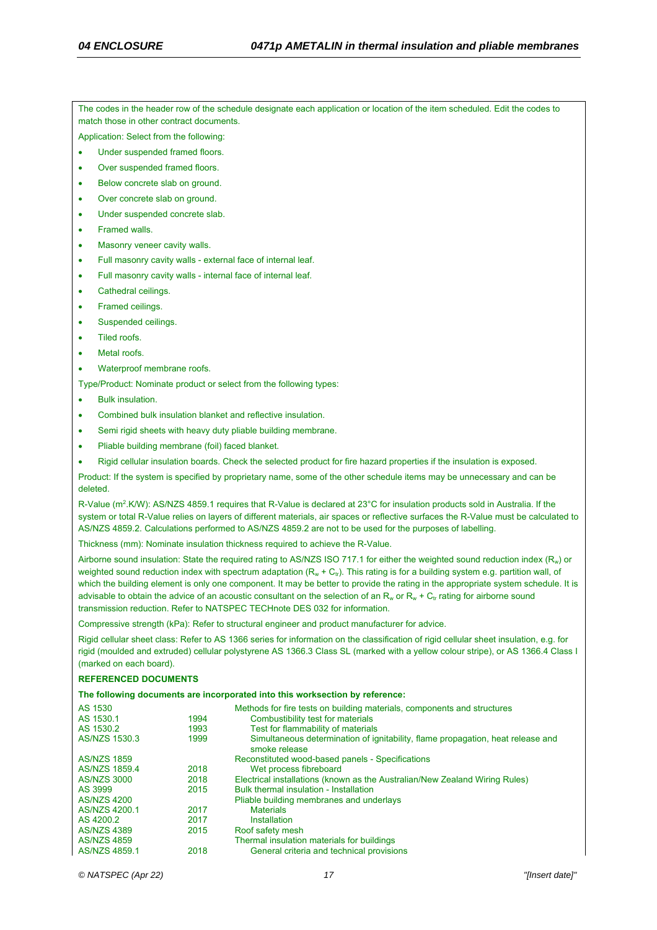The codes in the header row of the schedule designate each application or location of the item scheduled. Edit the codes to match those in other contract documents.

Application: Select from the following:

- Under suspended framed floors.
- Over suspended framed floors.
- Below concrete slab on ground.
- Over concrete slab on ground.
- Under suspended concrete slab.
- Framed walls.
- Masonry veneer cavity walls.
- Full masonry cavity walls external face of internal leaf.
- Full masonry cavity walls internal face of internal leaf.
- Cathedral ceilings.
- Framed ceilings.
- Suspended ceilings.
- Tiled roofs.
- Metal roofs.
- Waterproof membrane roofs.
- Type/Product: Nominate product or select from the following types:
- Bulk insulation.
- Combined bulk insulation blanket and reflective insulation.
- Semi rigid sheets with heavy duty pliable building membrane.
- Pliable building membrane (foil) faced blanket.
- Rigid cellular insulation boards. Check the selected product for fire hazard properties if the insulation is exposed.

Product: If the system is specified by proprietary name, some of the other schedule items may be unnecessary and can be deleted.

R-Value (m<sup>2</sup>.K/W): AS/NZS 4859.1 requires that R-Value is declared at 23°C for insulation products sold in Australia. If the system or total R-Value relies on layers of different materials, air spaces or reflective surfaces the R-Value must be calculated to AS/NZS 4859.2. Calculations performed to AS/NZS 4859.2 are not to be used for the purposes of labelling.

Thickness (mm): Nominate insulation thickness required to achieve the R-Value.

Airborne sound insulation: State the required rating to AS/NZS ISO 717.1 for either the weighted sound reduction index  $(R_w)$  or weighted sound reduction index with spectrum adaptation  $(R_w + C_v)$ . This rating is for a building system e.g. partition wall, of which the building element is only one component. It may be better to provide the rating in the appropriate system schedule. It is advisable to obtain the advice of an acoustic consultant on the selection of an  $R_w$  or  $R_w + C_t$  rating for airborne sound transmission reduction. Refer to NATSPEC TECHnote DES 032 for information.

Compressive strength (kPa): Refer to structural engineer and product manufacturer for advice.

Rigid cellular sheet class: Refer to AS 1366 series for information on the classification of rigid cellular sheet insulation, e.g. for rigid (moulded and extruded) cellular polystyrene AS 1366.3 Class SL (marked with a yellow colour stripe), or AS 1366.4 Class I (marked on each board).

#### **REFERENCED DOCUMENTS**

**The following documents are incorporated into this worksection by reference:**

| AS 1530            |      | Methods for fire tests on building materials, components and structures                          |
|--------------------|------|--------------------------------------------------------------------------------------------------|
| AS 1530.1          | 1994 | Combustibility test for materials                                                                |
| AS 1530.2          | 1993 | Test for flammability of materials                                                               |
| AS/NZS 1530.3      | 1999 | Simultaneous determination of ignitability, flame propagation, heat release and<br>smoke release |
| <b>AS/NZS 1859</b> |      | Reconstituted wood-based panels - Specifications                                                 |
| AS/NZS 1859.4      | 2018 | Wet process fibreboard                                                                           |
| <b>AS/NZS 3000</b> | 2018 | Electrical installations (known as the Australian/New Zealand Wiring Rules)                      |
| AS 3999            | 2015 | <b>Bulk thermal insulation - Installation</b>                                                    |
| <b>AS/NZS 4200</b> |      | Pliable building membranes and underlays                                                         |
| AS/NZS 4200.1      | 2017 | <b>Materials</b>                                                                                 |
| AS 4200.2          | 2017 | Installation                                                                                     |
| <b>AS/NZS 4389</b> | 2015 | Roof safety mesh                                                                                 |
| <b>AS/NZS 4859</b> |      | Thermal insulation materials for buildings                                                       |
| AS/NZS 4859.1      | 2018 | General criteria and technical provisions                                                        |